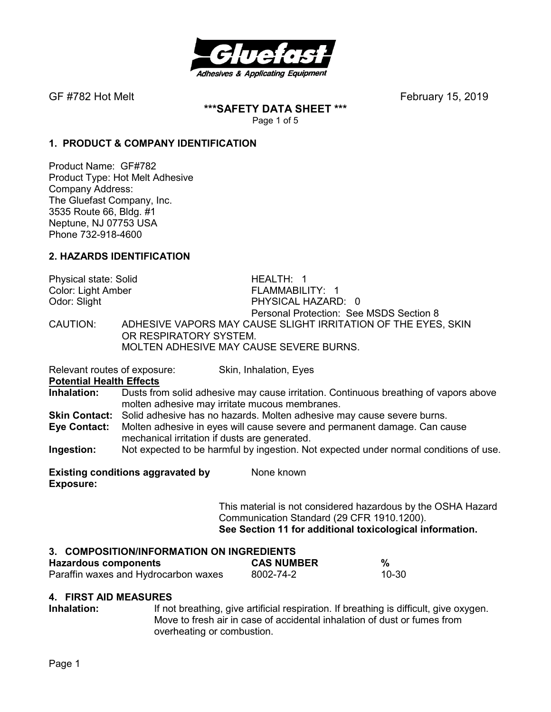

**\*\*\*SAFETY DATA SHEET \*\*\***  Page 1 of 5

# **1. PRODUCT & COMPANY IDENTIFICATION**

Product Name: GF#782 Product Type: Hot Melt Adhesive Company Address: The Gluefast Company, Inc. 3535 Route 66, Bldg. #1 Neptune, NJ 07753 USA Phone 732-918-4600

# **2. HAZARDS IDENTIFICATION**

Physical state: Solid HEALTH: 1 Color: Light Amber FLAMMABILITY: 1 Odor: Slight **PHYSICAL HAZARD:** 0 Personal Protection: See MSDS Section 8 CAUTION: ADHESIVE VAPORS MAY CAUSE SLIGHT IRRITATION OF THE EYES, SKIN OR RESPIRATORY SYSTEM. MOLTEN ADHESIVE MAY CAUSE SEVERE BURNS.

Relevant routes of exposure: Skin, Inhalation, Eyes

**Potential Health Effects** 

**Inhalation:** Dusts from solid adhesive may cause irritation. Continuous breathing of vapors above molten adhesive may irritate mucous membranes.

**Skin Contact:** Solid adhesive has no hazards. Molten adhesive may cause severe burns.

**Eye Contact:** Molten adhesive in eyes will cause severe and permanent damage. Can cause mechanical irritation if dusts are generated.

**Ingestion:** Not expected to be harmful by ingestion. Not expected under normal conditions of use.

**Existing conditions aggravated by Solvich Known Exposure:** 

> This material is not considered hazardous by the OSHA Hazard Communication Standard (29 CFR 1910.1200). **See Section 11 for additional toxicological information.**

## **3. COMPOSITION/INFORMATION ON INGREDIENTS**

| <b>Hazardous components</b>          | <b>CAS NUMBER</b> | %     |
|--------------------------------------|-------------------|-------|
| Paraffin waxes and Hydrocarbon waxes | 8002-74-2         | 10-30 |

## **4. FIRST AID MEASURES**

**Inhalation:** If not breathing, give artificial respiration. If breathing is difficult, give oxygen. Move to fresh air in case of accidental inhalation of dust or fumes from overheating or combustion.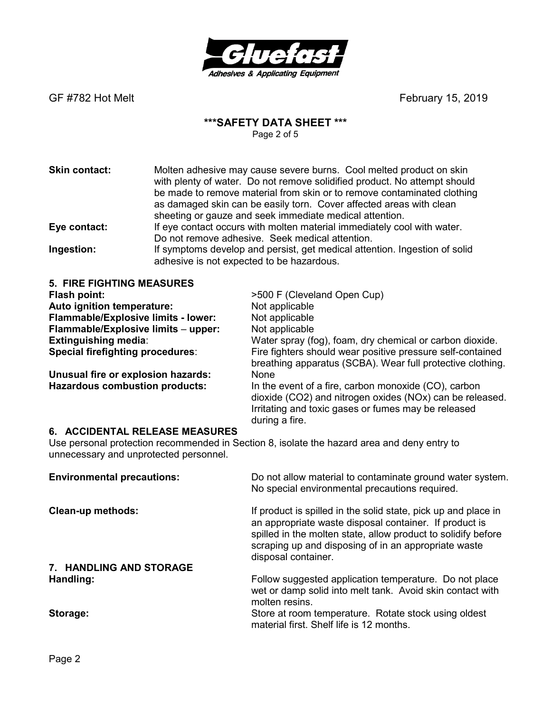

# **\*\*\*SAFETY DATA SHEET \*\*\***

Page 2 of 5

| <b>Skin contact:</b> | Molten adhesive may cause severe burns. Cool melted product on skin<br>with plenty of water. Do not remove solidified product. No attempt should<br>be made to remove material from skin or to remove contaminated clothing<br>as damaged skin can be easily torn. Cover affected areas with clean<br>sheeting or gauze and seek immediate medical attention. |
|----------------------|---------------------------------------------------------------------------------------------------------------------------------------------------------------------------------------------------------------------------------------------------------------------------------------------------------------------------------------------------------------|
| Eye contact:         | If eye contact occurs with molten material immediately cool with water.                                                                                                                                                                                                                                                                                       |
|                      | Do not remove adhesive. Seek medical attention.                                                                                                                                                                                                                                                                                                               |
| Ingestion:           | If symptoms develop and persist, get medical attention. Ingestion of solid<br>adhesive is not expected to be hazardous.                                                                                                                                                                                                                                       |

| <b>5. FIRE FIGHTING MEASURES</b>                                                                                                                                        |                                                                                                                                                                                           |  |
|-------------------------------------------------------------------------------------------------------------------------------------------------------------------------|-------------------------------------------------------------------------------------------------------------------------------------------------------------------------------------------|--|
| Flash point:                                                                                                                                                            | >500 F (Cleveland Open Cup)                                                                                                                                                               |  |
| Auto ignition temperature:                                                                                                                                              | Not applicable                                                                                                                                                                            |  |
| Flammable/Explosive limits - lower:                                                                                                                                     | Not applicable                                                                                                                                                                            |  |
| Flammable/Explosive limits - upper:                                                                                                                                     | Not applicable                                                                                                                                                                            |  |
| <b>Extinguishing media:</b>                                                                                                                                             | Water spray (fog), foam, dry chemical or carbon dioxide.                                                                                                                                  |  |
| <b>Special firefighting procedures:</b>                                                                                                                                 | Fire fighters should wear positive pressure self-contained<br>breathing apparatus (SCBA). Wear full protective clothing.                                                                  |  |
| Unusual fire or explosion hazards:                                                                                                                                      | <b>None</b>                                                                                                                                                                               |  |
| <b>Hazardous combustion products:</b>                                                                                                                                   | In the event of a fire, carbon monoxide (CO), carbon<br>dioxide (CO2) and nitrogen oxides (NOx) can be released.<br>Irritating and toxic gases or fumes may be released<br>during a fire. |  |
| 6. ACCIDENTAL RELEASE MEASURES<br>Use personal protection recommended in Section 8, isolate the hazard area and deny entry to<br>unnecessary and unprotected personnel. |                                                                                                                                                                                           |  |
| <b>Environmental precautions:</b>                                                                                                                                       | Do not allow material to contaminate ground water system.<br>No special environmental precautions required.                                                                               |  |
| Class un mathadai                                                                                                                                                       | If product is spilled in the solid state, pick up and place in                                                                                                                            |  |

**Clean-up methods:** If product is spilled in the solid state, pick up and place in an appropriate waste disposal container. If product is spilled in the molten state, allow product to solidify before scraping up and disposing of in an appropriate waste disposal container.

#### **7. HANDLING AND STORAGE Handling: Handling: Follow** suggested application temperature. Do not place wet or damp solid into melt tank. Avoid skin contact with Storage: the contraction of the contraction of the contraction of the contraction of the contraction of the contraction of the contraction of the contraction of the contraction of the contraction of the contraction of the Store at room temperature. Rotate stock using oldest material first. Shelf life is 12 months.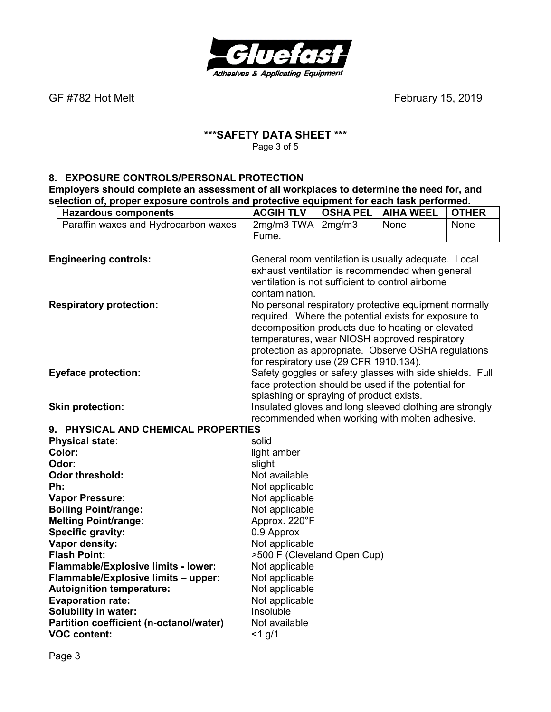

### **\*\*\*SAFETY DATA SHEET \*\*\***  Page 3 of 5

# **8. EXPOSURE CONTROLS/PERSONAL PROTECTION Employers should complete an assessment of all workplaces to determine the need for, and selection of, proper exposure controls and protective equipment for each task performed.**

|     | <b>Hazardous components</b>                                                             | <b>ACGIH TLV</b>                                         | <b>OSHA PEL</b> | <b>AIHA WEEL</b>                                        | <b>OTHER</b> |
|-----|-----------------------------------------------------------------------------------------|----------------------------------------------------------|-----------------|---------------------------------------------------------|--------------|
|     | Paraffin waxes and Hydrocarbon waxes                                                    | 2mg/m3 TWA<br>Fume.                                      | 2mg/m3          | None                                                    | None         |
|     | <b>Engineering controls:</b>                                                            |                                                          |                 | General room ventilation is usually adequate. Local     |              |
|     |                                                                                         |                                                          |                 | exhaust ventilation is recommended when general         |              |
|     |                                                                                         |                                                          |                 | ventilation is not sufficient to control airborne       |              |
|     |                                                                                         | contamination.                                           |                 |                                                         |              |
|     | <b>Respiratory protection:</b><br>No personal respiratory protective equipment normally |                                                          |                 |                                                         |              |
|     |                                                                                         |                                                          |                 | required. Where the potential exists for exposure to    |              |
|     |                                                                                         |                                                          |                 | decomposition products due to heating or elevated       |              |
|     |                                                                                         |                                                          |                 | temperatures, wear NIOSH approved respiratory           |              |
|     |                                                                                         |                                                          |                 | protection as appropriate. Observe OSHA regulations     |              |
|     |                                                                                         | for respiratory use (29 CFR 1910.134).                   |                 |                                                         |              |
|     | <b>Eyeface protection:</b>                                                              | Safety goggles or safety glasses with side shields. Full |                 |                                                         |              |
|     |                                                                                         |                                                          |                 | face protection should be used if the potential for     |              |
|     |                                                                                         | splashing or spraying of product exists.                 |                 |                                                         |              |
|     | <b>Skin protection:</b>                                                                 |                                                          |                 | Insulated gloves and long sleeved clothing are strongly |              |
|     |                                                                                         |                                                          |                 | recommended when working with molten adhesive.          |              |
|     | 9. PHYSICAL AND CHEMICAL PROPERTIES                                                     |                                                          |                 |                                                         |              |
|     | <b>Physical state:</b>                                                                  | solid                                                    |                 |                                                         |              |
|     | Color:                                                                                  | light amber                                              |                 |                                                         |              |
|     | Odor:                                                                                   | slight                                                   |                 |                                                         |              |
|     | <b>Odor threshold:</b>                                                                  | Not available                                            |                 |                                                         |              |
| Ph: |                                                                                         | Not applicable                                           |                 |                                                         |              |
|     | <b>Vapor Pressure:</b>                                                                  | Not applicable                                           |                 |                                                         |              |
|     | <b>Boiling Point/range:</b>                                                             | Not applicable                                           |                 |                                                         |              |
|     | <b>Melting Point/range:</b>                                                             | Approx. 220°F                                            |                 |                                                         |              |
|     | <b>Specific gravity:</b>                                                                | 0.9 Approx                                               |                 |                                                         |              |
|     | Vapor density:                                                                          | Not applicable                                           |                 |                                                         |              |
|     | <b>Flash Point:</b>                                                                     | >500 F (Cleveland Open Cup)                              |                 |                                                         |              |
|     | Flammable/Explosive limits - lower:                                                     | Not applicable                                           |                 |                                                         |              |
|     | Flammable/Explosive limits - upper:                                                     | Not applicable                                           |                 |                                                         |              |
|     | <b>Autoignition temperature:</b>                                                        | Not applicable                                           |                 |                                                         |              |
|     | <b>Evaporation rate:</b>                                                                | Not applicable                                           |                 |                                                         |              |
|     | <b>Solubility in water:</b>                                                             | Insoluble                                                |                 |                                                         |              |
|     | Partition coefficient (n-octanol/water)                                                 | Not available                                            |                 |                                                         |              |
|     | <b>VOC content:</b>                                                                     | $<$ 1 g/1                                                |                 |                                                         |              |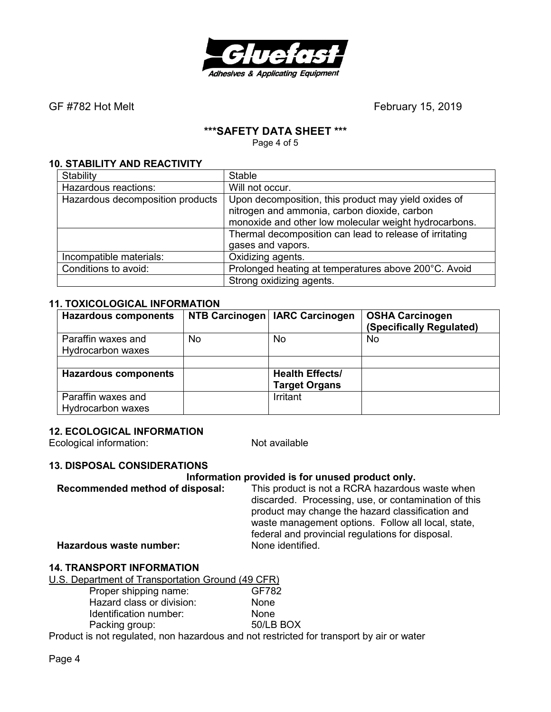

## **\*\*\*SAFETY DATA SHEET \*\*\***

Page 4 of 5

### **10. STABILITY AND REACTIVITY**

| Stability                        | <b>Stable</b>                                           |  |
|----------------------------------|---------------------------------------------------------|--|
| Hazardous reactions:             | Will not occur.                                         |  |
| Hazardous decomposition products | Upon decomposition, this product may yield oxides of    |  |
|                                  | nitrogen and ammonia, carbon dioxide, carbon            |  |
|                                  | monoxide and other low molecular weight hydrocarbons.   |  |
|                                  | Thermal decomposition can lead to release of irritating |  |
|                                  | gases and vapors.                                       |  |
| Incompatible materials:          | Oxidizing agents.                                       |  |
| Conditions to avoid:             | Prolonged heating at temperatures above 200°C. Avoid    |  |
|                                  | Strong oxidizing agents.                                |  |

#### **11. TOXICOLOGICAL INFORMATION**

| <b>Hazardous components</b>                    |     | NTB Carcinogen   IARC Carcinogen               | <b>OSHA Carcinogen</b><br>(Specifically Regulated) |
|------------------------------------------------|-----|------------------------------------------------|----------------------------------------------------|
| Paraffin waxes and<br>Hydrocarbon waxes        | No. | No                                             | No                                                 |
|                                                |     |                                                |                                                    |
| <b>Hazardous components</b>                    |     | <b>Health Effects/</b><br><b>Target Organs</b> |                                                    |
| Paraffin waxes and<br><b>Hydrocarbon waxes</b> |     | Irritant                                       |                                                    |

#### **12. ECOLOGICAL INFORMATION**

Ecological information: Not available

## **13. DISPOSAL CONSIDERATIONS**

#### **Information provided is for unused product only.**

**Recommended method of disposal:** This product is not a RCRA hazardous waste when discarded. Processing, use, or contamination of this product may change the hazard classification and waste management options. Follow all local, state, federal and provincial regulations for disposal.

**Hazardous waste number:** 

## **14. TRANSPORT INFORMATION**

| U.S. Department of Transportation Ground (49 CFR) |           |
|---------------------------------------------------|-----------|
| Proper shipping name:                             | GF782     |
| Hazard class or division:                         | None      |
| Identification number:                            | None      |
| Packing group:                                    | 50/LB BOX |
|                                                   | .         |

Product is not regulated, non hazardous and not restricted for transport by air or water